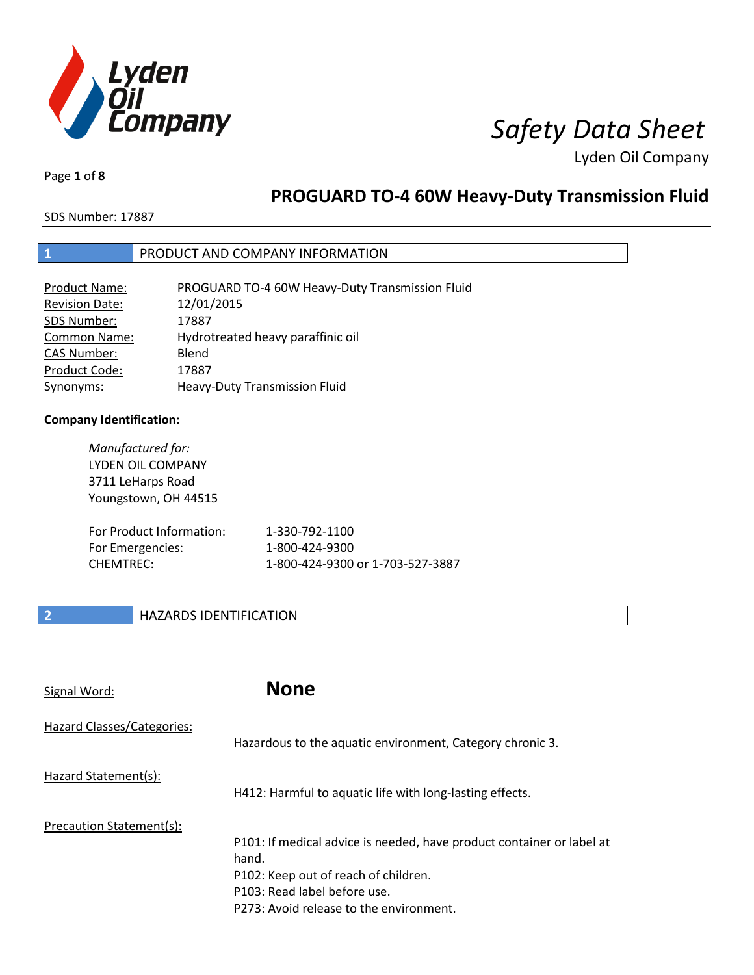

Page **1** of **8**

# **PROGUARD TO-4 60W Heavy-Duty Transmission Fluid**

SDS Number: 17887

## **1** PRODUCT AND COMPANY INFORMATION

| Product Name:         | PROGUARD TO-4 60W Heavy-Duty Transmission Fluid |
|-----------------------|-------------------------------------------------|
| <b>Revision Date:</b> | 12/01/2015                                      |
| SDS Number:           | 17887                                           |
| <b>Common Name:</b>   | Hydrotreated heavy paraffinic oil               |
| <b>CAS Number:</b>    | Blend                                           |
| Product Code:         | 17887                                           |
| Synonyms:             | Heavy-Duty Transmission Fluid                   |

### **Company Identification:**

| Manufactured for:<br>LYDEN OIL COMPANY<br>3711 LeHarps Road<br>Youngstown, OH 44515 |                                  |
|-------------------------------------------------------------------------------------|----------------------------------|
| For Product Information:                                                            | 1-330-792-1100                   |
| For Emergencies:                                                                    | 1-800-424-9300                   |
| CHEMTREC:                                                                           | 1-800-424-9300 or 1-703-527-3887 |

## **2 HAZARDS IDENTIFICATION**

| Signal Word:               | <b>None</b>                                                                                                                                                                                       |
|----------------------------|---------------------------------------------------------------------------------------------------------------------------------------------------------------------------------------------------|
| Hazard Classes/Categories: | Hazardous to the aquatic environment, Category chronic 3.                                                                                                                                         |
| Hazard Statement(s):       | H412: Harmful to aquatic life with long-lasting effects.                                                                                                                                          |
| Precaution Statement(s):   | P101: If medical advice is needed, have product container or label at<br>hand.<br>P102: Keep out of reach of children.<br>P103: Read label before use.<br>P273: Avoid release to the environment. |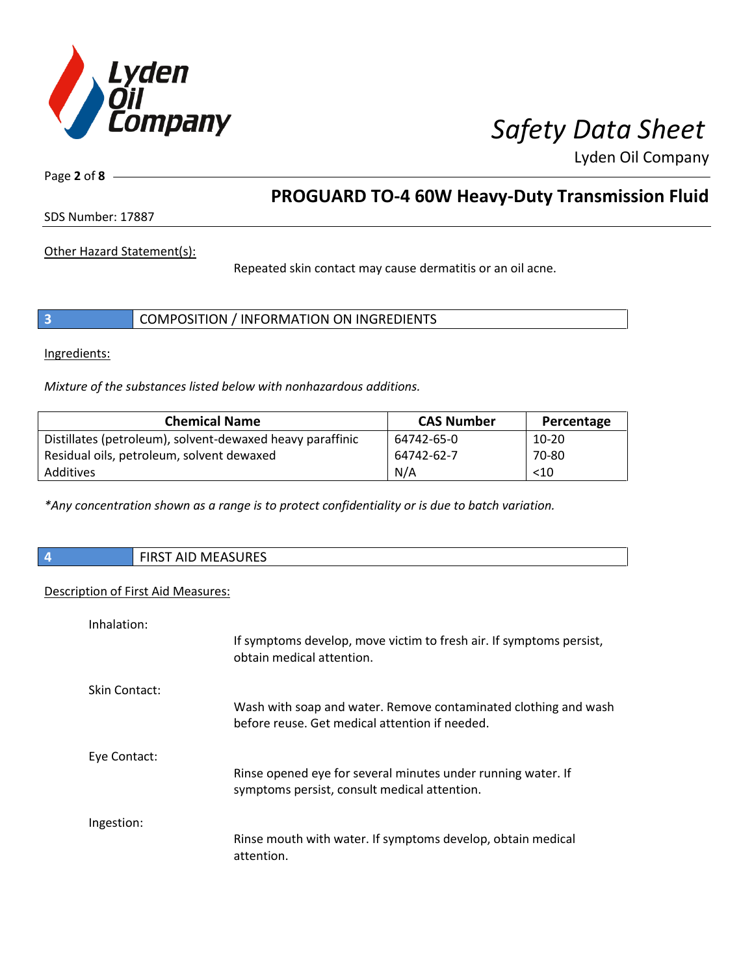

Page **2** of **8**

# **PROGUARD TO-4 60W Heavy-Duty Transmission Fluid**

SDS Number: 17887

Other Hazard Statement(s):

Repeated skin contact may cause dermatitis or an oil acne.

|  | COMPOSITION / INFORMATION ON INGREDIENTS |
|--|------------------------------------------|
|--|------------------------------------------|

Ingredients:

*Mixture of the substances listed below with nonhazardous additions.*

| <b>Chemical Name</b>                                      | <b>CAS Number</b> | Percentage |
|-----------------------------------------------------------|-------------------|------------|
| Distillates (petroleum), solvent-dewaxed heavy paraffinic | 64742-65-0        | $10-20$    |
| Residual oils, petroleum, solvent dewaxed                 | 64742-62-7        | 70-80      |
| Additives                                                 | N/A               | < 10       |

*\*Any concentration shown as a range is to protect confidentiality or is due to batch variation.*

| $\vert$ 4 | <b>FIRST AID MEASURES</b> |
|-----------|---------------------------|
|           |                           |

### Description of First Aid Measures:

| Inhalation:   |                                                                                                                   |
|---------------|-------------------------------------------------------------------------------------------------------------------|
|               | If symptoms develop, move victim to fresh air. If symptoms persist,<br>obtain medical attention.                  |
| Skin Contact: |                                                                                                                   |
|               | Wash with soap and water. Remove contaminated clothing and wash<br>before reuse. Get medical attention if needed. |
| Eye Contact:  |                                                                                                                   |
|               | Rinse opened eye for several minutes under running water. If<br>symptoms persist, consult medical attention.      |
| Ingestion:    |                                                                                                                   |
|               | Rinse mouth with water. If symptoms develop, obtain medical<br>attention.                                         |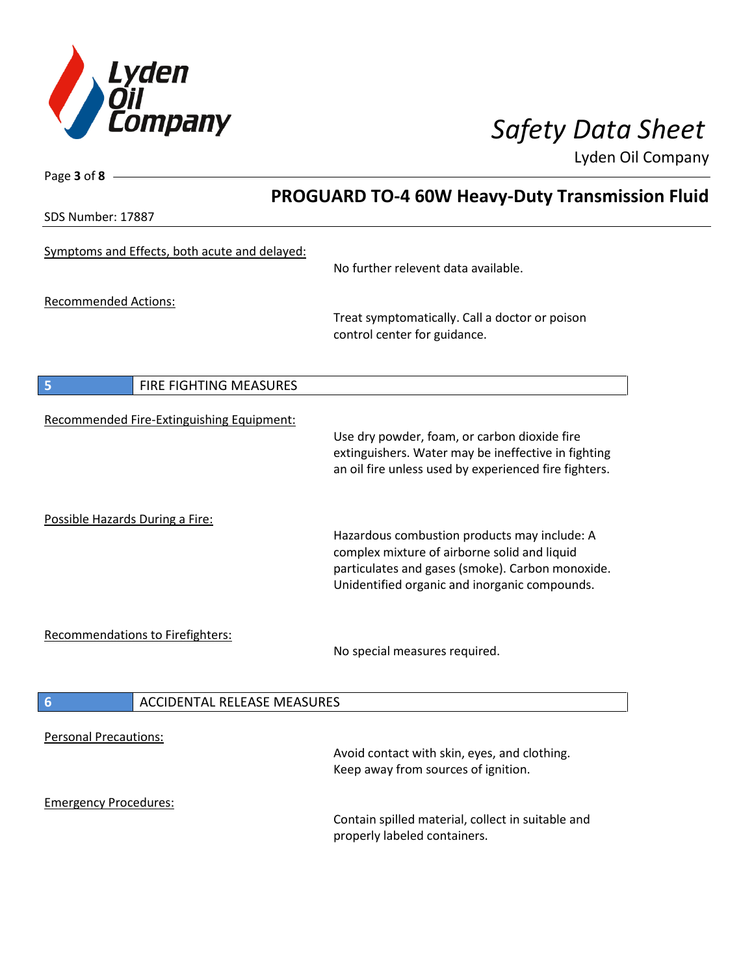

Page **3** of **8**

Lyden Oil Company

|                                                       | <b>PROGUARD TO-4 60W Heavy-Duty Transmission Fluid</b>                                                                                                                                            |  |
|-------------------------------------------------------|---------------------------------------------------------------------------------------------------------------------------------------------------------------------------------------------------|--|
| SDS Number: 17887                                     |                                                                                                                                                                                                   |  |
| Symptoms and Effects, both acute and delayed:         | No further relevent data available.                                                                                                                                                               |  |
| <b>Recommended Actions:</b>                           | Treat symptomatically. Call a doctor or poison<br>control center for guidance.                                                                                                                    |  |
| 5<br>FIRE FIGHTING MEASURES                           |                                                                                                                                                                                                   |  |
| Recommended Fire-Extinguishing Equipment:             | Use dry powder, foam, or carbon dioxide fire<br>extinguishers. Water may be ineffective in fighting<br>an oil fire unless used by experienced fire fighters.                                      |  |
| Possible Hazards During a Fire:                       | Hazardous combustion products may include: A<br>complex mixture of airborne solid and liquid<br>particulates and gases (smoke). Carbon monoxide.<br>Unidentified organic and inorganic compounds. |  |
| <b>Recommendations to Firefighters:</b>               | No special measures required.                                                                                                                                                                     |  |
| $6\phantom{1}6$<br><b>ACCIDENTAL RELEASE MEASURES</b> |                                                                                                                                                                                                   |  |
| <b>Personal Precautions:</b>                          | Avoid contact with skin, eyes, and clothing.<br>Keep away from sources of ignition.                                                                                                               |  |
| <b>Emergency Procedures:</b>                          | Contain spilled material, collect in suitable and<br>properly labeled containers.                                                                                                                 |  |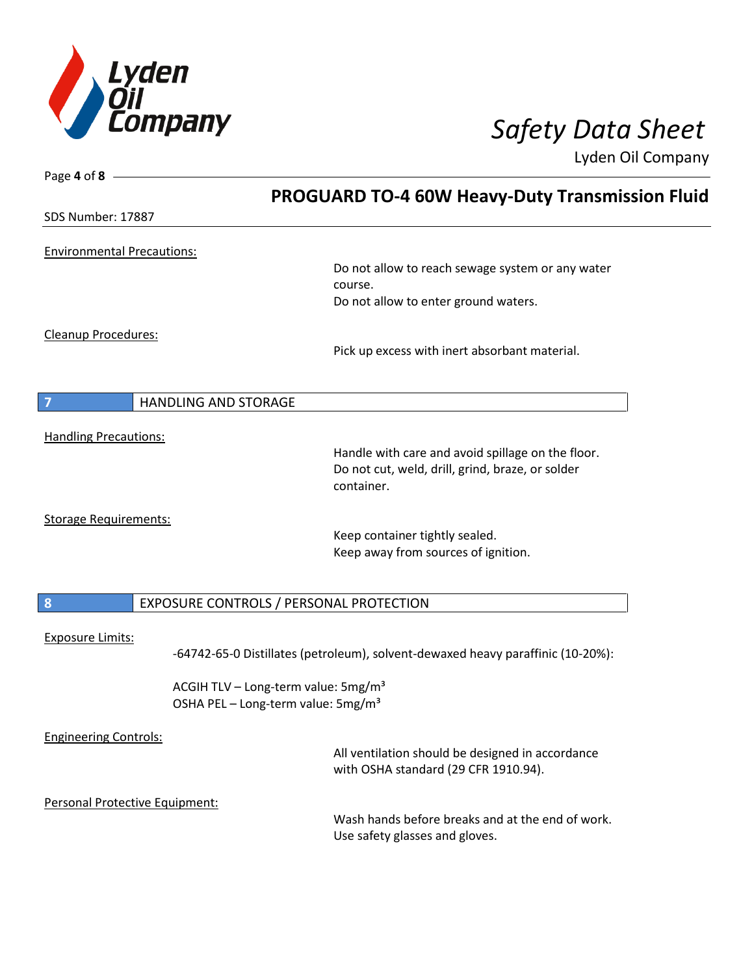

| Page 4 of 8                       |                                                                                                       |
|-----------------------------------|-------------------------------------------------------------------------------------------------------|
|                                   | <b>PROGUARD TO-4 60W Heavy-Duty Transmission Fluid</b>                                                |
| SDS Number: 17887                 |                                                                                                       |
| <b>Environmental Precautions:</b> |                                                                                                       |
|                                   | Do not allow to reach sewage system or any water                                                      |
|                                   | course.<br>Do not allow to enter ground waters.                                                       |
|                                   |                                                                                                       |
| Cleanup Procedures:               |                                                                                                       |
|                                   | Pick up excess with inert absorbant material.                                                         |
|                                   |                                                                                                       |
| HANDLING AND STORAGE<br>7         |                                                                                                       |
| <b>Handling Precautions:</b>      |                                                                                                       |
|                                   | Handle with care and avoid spillage on the floor.<br>Do not cut, weld, drill, grind, braze, or solder |
|                                   | container.                                                                                            |
| <b>Storage Requirements:</b>      |                                                                                                       |
|                                   | Keep container tightly sealed.                                                                        |
|                                   | Keep away from sources of ignition.                                                                   |
|                                   |                                                                                                       |
| $\boldsymbol{8}$                  | EXPOSURE CONTROLS / PERSONAL PROTECTION                                                               |
| <b>Exposure Limits:</b>           |                                                                                                       |
|                                   | -64742-65-0 Distillates (petroleum), solvent-dewaxed heavy paraffinic (10-20%):                       |
|                                   | ACGIH TLV - Long-term value: 5mg/m <sup>3</sup>                                                       |
|                                   | OSHA PEL - Long-term value: 5mg/m <sup>3</sup>                                                        |
| <b>Engineering Controls:</b>      |                                                                                                       |
|                                   | All ventilation should be designed in accordance<br>with OSHA standard (29 CFR 1910.94).              |
|                                   |                                                                                                       |
| Personal Protective Equipment:    | Wash hands before breaks and at the end of work.                                                      |
|                                   | Use safety glasses and gloves.                                                                        |
|                                   |                                                                                                       |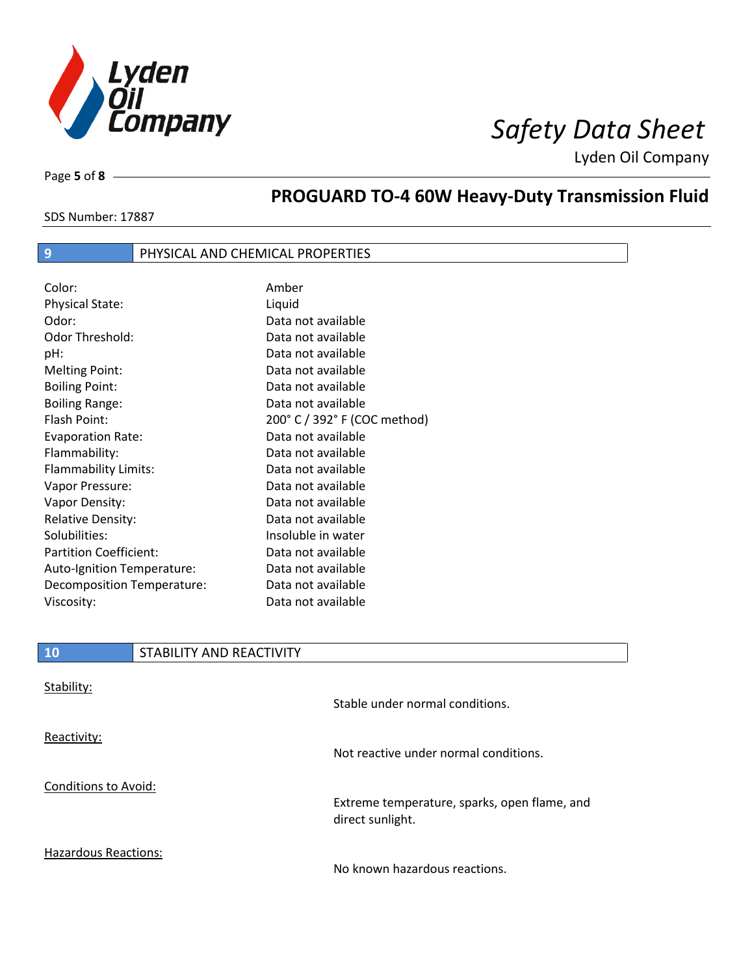

Page **5** of **8**

# **PROGUARD TO-4 60W Heavy-Duty Transmission Fluid**

SDS Number: 17887

## **9 PHYSICAL AND CHEMICAL PROPERTIES**

| Color:                        | Amber                        |
|-------------------------------|------------------------------|
| <b>Physical State:</b>        | Liquid                       |
| Odor:                         | Data not available           |
| Odor Threshold:               | Data not available           |
| pH:                           | Data not available           |
| <b>Melting Point:</b>         | Data not available           |
| <b>Boiling Point:</b>         | Data not available           |
| <b>Boiling Range:</b>         | Data not available           |
| Flash Point:                  | 200° C / 392° F (COC method) |
| <b>Evaporation Rate:</b>      | Data not available           |
| Flammability:                 | Data not available           |
| Flammability Limits:          | Data not available           |
| Vapor Pressure:               | Data not available           |
| Vapor Density:                | Data not available           |
| <b>Relative Density:</b>      | Data not available           |
| Solubilities:                 | Insoluble in water           |
| <b>Partition Coefficient:</b> | Data not available           |
| Auto-Ignition Temperature:    | Data not available           |
| Decomposition Temperature:    | Data not available           |
| Viscosity:                    | Data not available           |

| 10                          | STABILITY AND REACTIVITY |                                       |
|-----------------------------|--------------------------|---------------------------------------|
| Stability:                  |                          | Stable under normal conditions.       |
| Reactivity:                 |                          | Not reactive under normal conditions. |
| <b>Conditions to Avoid:</b> |                          |                                       |

Extreme temperature, sparks, open flame, and direct sunlight.

Hazardous Reactions:

No known hazardous reactions.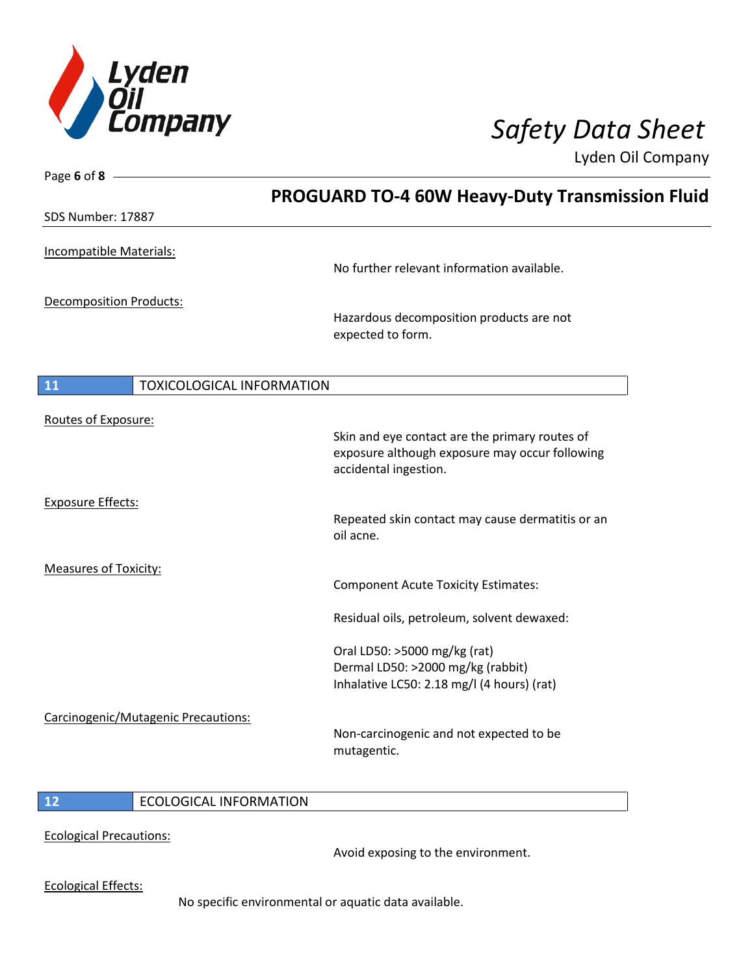

Page **6** of **8**

Lyden Oil Company

|                              |                                     | <b>PROGUARD TO-4 60W Heavy-Duty Transmission Fluid</b>                                                          |  |
|------------------------------|-------------------------------------|-----------------------------------------------------------------------------------------------------------------|--|
| SDS Number: 17887            |                                     |                                                                                                                 |  |
|                              | Incompatible Materials:             | No further relevant information available.                                                                      |  |
|                              | Decomposition Products:             | Hazardous decomposition products are not<br>expected to form.                                                   |  |
| 11                           | <b>TOXICOLOGICAL INFORMATION</b>    |                                                                                                                 |  |
| Routes of Exposure:          |                                     | Skin and eye contact are the primary routes of<br>exposure although exposure may occur following                |  |
| <b>Exposure Effects:</b>     |                                     | accidental ingestion.                                                                                           |  |
|                              |                                     | Repeated skin contact may cause dermatitis or an<br>oil acne.                                                   |  |
| <b>Measures of Toxicity:</b> |                                     | <b>Component Acute Toxicity Estimates:</b>                                                                      |  |
|                              |                                     | Residual oils, petroleum, solvent dewaxed:                                                                      |  |
|                              |                                     | Oral LD50: >5000 mg/kg (rat)<br>Dermal LD50: >2000 mg/kg (rabbit)<br>Inhalative LC50: 2.18 mg/l (4 hours) (rat) |  |
|                              | Carcinogenic/Mutagenic Precautions: | Non-carcinogenic and not expected to be<br>mutagentic.                                                          |  |
| 12                           | ECOLOGICAL INFORMATION              |                                                                                                                 |  |

## **12** ECOLOGICAL INFORMATION

Ecological Precautions:

Avoid exposing to the environment.

Ecological Effects:

No specific environmental or aquatic data available.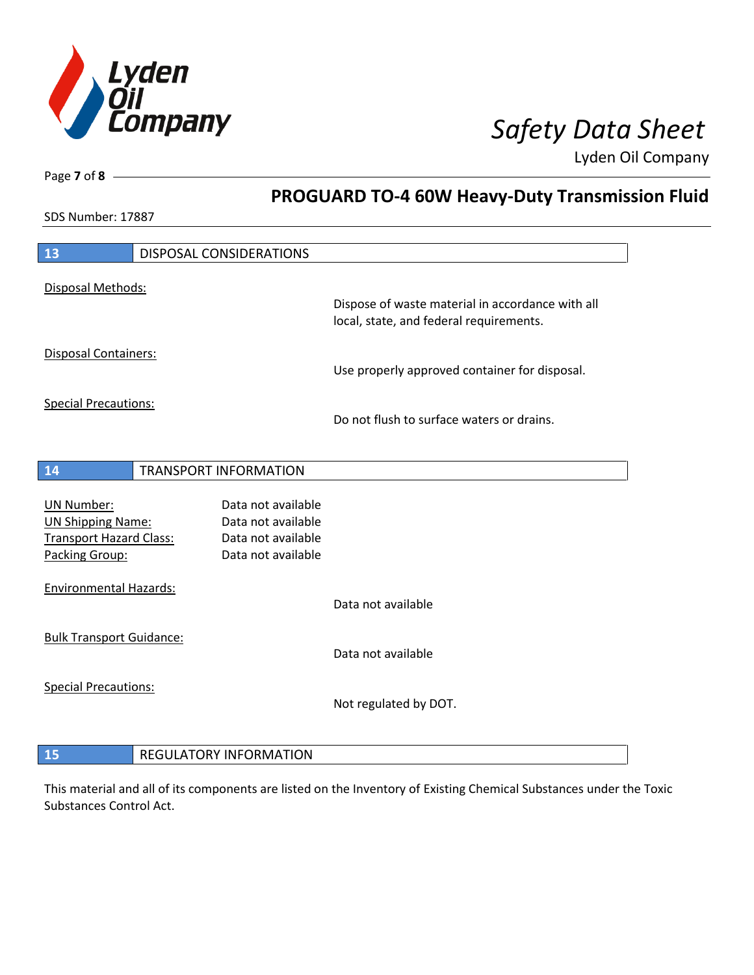

**PROGUARD TO-4 60W Heavy-Duty Transmission Fluid**

Lyden Oil Company

SDS Number: 17887

Page **7** of **8**

| 13                              | <b>DISPOSAL CONSIDERATIONS</b> |                                                  |
|---------------------------------|--------------------------------|--------------------------------------------------|
| Disposal Methods:               |                                |                                                  |
|                                 |                                | Dispose of waste material in accordance with all |
|                                 |                                | local, state, and federal requirements.          |
| <b>Disposal Containers:</b>     |                                |                                                  |
|                                 |                                | Use properly approved container for disposal.    |
| <b>Special Precautions:</b>     |                                |                                                  |
|                                 |                                | Do not flush to surface waters or drains.        |
|                                 |                                |                                                  |
| 14                              | <b>TRANSPORT INFORMATION</b>   |                                                  |
|                                 |                                |                                                  |
| <b>UN Number:</b>               | Data not available             |                                                  |
| <b>UN Shipping Name:</b>        | Data not available             |                                                  |
| <b>Transport Hazard Class:</b>  | Data not available             |                                                  |
| Packing Group:                  | Data not available             |                                                  |
| <b>Environmental Hazards:</b>   |                                |                                                  |
|                                 |                                | Data not available                               |
| <b>Bulk Transport Guidance:</b> |                                |                                                  |
|                                 |                                | Data not available                               |
| <b>Special Precautions:</b>     |                                |                                                  |
|                                 |                                | Not regulated by DOT.                            |
|                                 |                                |                                                  |
| 15                              | <b>REGULATORY INFORMATION</b>  |                                                  |

This material and all of its components are listed on the Inventory of Existing Chemical Substances under the Toxic Substances Control Act.